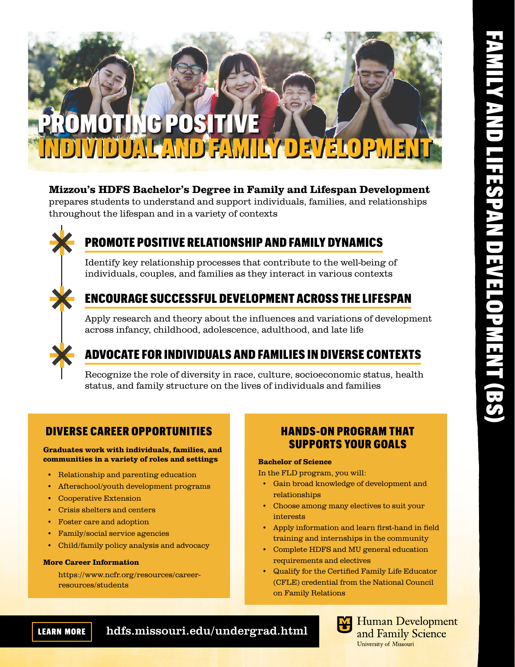

### Mizzou's HDFS Bachelor's Degree in Family and Lifespan Development

prepares students to understand and support individuals, families, and relationships throughout the lifespan and in a variety of contexts



# PROMOTE POSITIVE RELATIONSHIP AND FAMILY DYNAMICS

Identify key relationship processes that contribute to the well-being of individuals, couples, and families as they interact in various contexts

### ENCOURAGE SUCCESSFUL DEVELOPMENT ACROSS THE LIFESPAN

Apply research and theory about the influences and variations of development across infancy, childhood, adolescence, adulthood, and late life

# ADVOCATE FOR INDIVIDUALS AND FAMILIES IN DIVERSE CONTEXTS

Recognize the role of diversity in race, culture, socioeconomic status, health status, and family structure on the lives of individuals and families

### DIVERSE CAREER OPPORTUNITIES

communities in a variety of roles and settings

- Relationship and parenting education
- Afterschool/youth development programs
- Cooperative Extension
- Crisis shelters and centers
- Foster care and adoption
- Family/social service agencies
- Child/family policy analysis and advocacy

### More Career Information

https://www.ncfr.org/resources/careerresources/students

### HANDS-ON PROGRAM THAT SUPPORTS YOUR GOALS Graduates work with individuals, families, and

### Bachelor of Science

In the FLD program, you will:

- Gain broad knowledge of development and relationships
- Choose among many electives to suit your interests
- Apply information and learn first-hand in field training and internships in the community
- Complete HDFS and MU general education requirements and electives
- Qualify for the Certified Family Life Educator (CFLE) credential from the National Council on Family Relations

LEARN  MORE hdfs.missouri.edu/undergrad.html



**Human Development** and Family Science University of Missouri